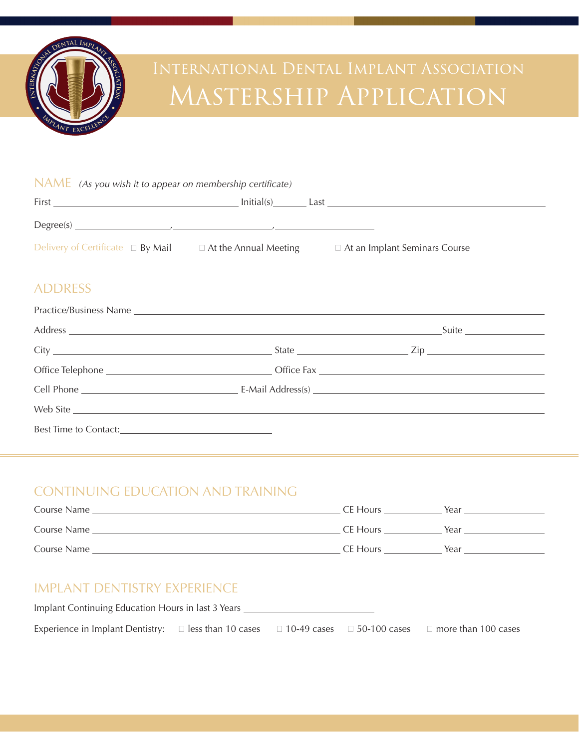

# Mastership Application

#### NAME *(As you wish it to appear on membership certificate)*

| First                                  | Initial(s)<br>Last           |                                      |
|----------------------------------------|------------------------------|--------------------------------------|
|                                        |                              |                                      |
| Delivery of Certificate $\Box$ By Mail | $\Box$ At the Annual Meeting | $\Box$ At an Implant Seminars Course |

## ADDRESS

| Web Site |  |
|----------|--|
|          |  |

# CONTINUING EDUCATION AND TRAINING

| Course Name | CE Hours | Year |
|-------------|----------|------|
| Course Name | CE Hours | Year |
| Course Name | CE Hours | Year |

### IMPLANT DENTISTRY EXPERIENCE

| Implant Continuing Education Hours in last 3 Years                                                                           |  |  |  |  |
|------------------------------------------------------------------------------------------------------------------------------|--|--|--|--|
| Experience in Implant Dentistry: $\Box$ less than 10 cases $\Box$ 10-49 cases $\Box$ 50-100 cases $\Box$ more than 100 cases |  |  |  |  |